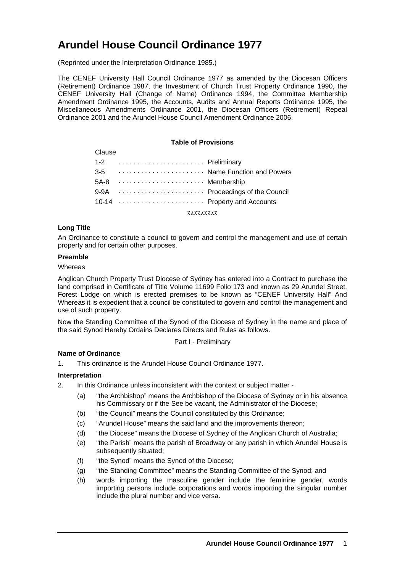# **Arundel House Council Ordinance 1977**

(Reprinted under the Interpretation Ordinance 1985.)

The CENEF University Hall Council Ordinance 1977 as amended by the Diocesan Officers (Retirement) Ordinance 1987, the Investment of Church Trust Property Ordinance 1990, the CENEF University Hall (Change of Name) Ordinance 1994, the Committee Membership Amendment Ordinance 1995, the Accounts, Audits and Annual Reports Ordinance 1995, the Miscellaneous Amendments Ordinance 2001, the Diocesan Officers (Retirement) Repeal Ordinance 2001 and the Arundel House Council Amendment Ordinance 2006.

#### **Table of Provisions**

| Clause  |                                  |  |
|---------|----------------------------------|--|
| $1 - 2$ | Preliminary                      |  |
|         | 3-5  Name Function and Powers    |  |
|         |                                  |  |
|         | 9-9A  Proceedings of the Council |  |
|         | 10-14  Property and Accounts     |  |
|         |                                  |  |

χχχχχχχχχ

## **Long Title**

An Ordinance to constitute a council to govern and control the management and use of certain property and for certain other purposes.

#### **Preamble**

#### **Whereas**

Anglican Church Property Trust Diocese of Sydney has entered into a Contract to purchase the land comprised in Certificate of Title Volume 11699 Folio 173 and known as 29 Arundel Street, Forest Lodge on which is erected premises to be known as "CENEF University Hall" And Whereas it is expedient that a council be constituted to govern and control the management and use of such property.

Now the Standing Committee of the Synod of the Diocese of Sydney in the name and place of the said Synod Hereby Ordains Declares Directs and Rules as follows.

Part I - Preliminary

## **Name of Ordinance**

1. This ordinance is the Arundel House Council Ordinance 1977.

## **Interpretation**

- 2. In this Ordinance unless inconsistent with the context or subject matter
	- (a) "the Archbishop" means the Archbishop of the Diocese of Sydney or in his absence his Commissary or if the See be vacant, the Administrator of the Diocese;
	- (b) "the Council" means the Council constituted by this Ordinance;
	- (c) "Arundel House" means the said land and the improvements thereon;
	- (d) "the Diocese" means the Diocese of Sydney of the Anglican Church of Australia;
	- (e) "the Parish" means the parish of Broadway or any parish in which Arundel House is subsequently situated;
	- (f) "the Synod" means the Synod of the Diocese;
	- (g) "the Standing Committee" means the Standing Committee of the Synod; and
	- (h) words importing the masculine gender include the feminine gender, words importing persons include corporations and words importing the singular number include the plural number and vice versa.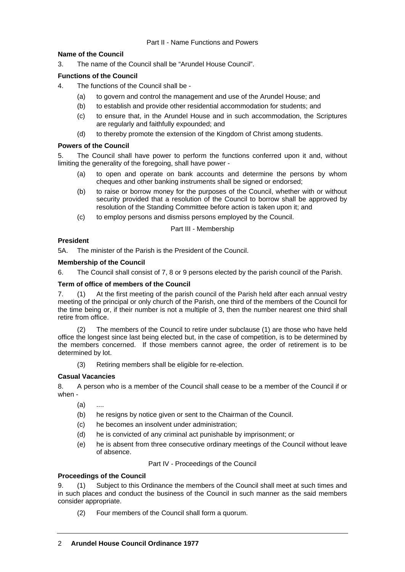## **Name of the Council**

3. The name of the Council shall be "Arundel House Council".

# **Functions of the Council**

- 4. The functions of the Council shall be
	- (a) to govern and control the management and use of the Arundel House; and
	- (b) to establish and provide other residential accommodation for students; and
	- (c) to ensure that, in the Arundel House and in such accommodation, the Scriptures are regularly and faithfully expounded; and
	- (d) to thereby promote the extension of the Kingdom of Christ among students.

# **Powers of the Council**

5. The Council shall have power to perform the functions conferred upon it and, without limiting the generality of the foregoing, shall have power -

- (a) to open and operate on bank accounts and determine the persons by whom cheques and other banking instruments shall be signed or endorsed;
- (b) to raise or borrow money for the purposes of the Council, whether with or without security provided that a resolution of the Council to borrow shall be approved by resolution of the Standing Committee before action is taken upon it; and
- (c) to employ persons and dismiss persons employed by the Council.

Part III - Membership

## **President**

5A. The minister of the Parish is the President of the Council.

## **Membership of the Council**

6. The Council shall consist of 7, 8 or 9 persons elected by the parish council of the Parish.

## **Term of office of members of the Council**

7. (1) At the first meeting of the parish council of the Parish held after each annual vestry meeting of the principal or only church of the Parish, one third of the members of the Council for the time being or, if their number is not a multiple of 3, then the number nearest one third shall retire from office.

 (2) The members of the Council to retire under subclause (1) are those who have held office the longest since last being elected but, in the case of competition, is to be determined by the members concerned. If those members cannot agree, the order of retirement is to be determined by lot.

(3) Retiring members shall be eligible for re-election.

# **Casual Vacancies**

8. A person who is a member of the Council shall cease to be a member of the Council if or when -

- (a) ....
- (b) he resigns by notice given or sent to the Chairman of the Council.
- (c) he becomes an insolvent under administration;
- (d) he is convicted of any criminal act punishable by imprisonment; or
- (e) he is absent from three consecutive ordinary meetings of the Council without leave of absence.

Part IV - Proceedings of the Council

## **Proceedings of the Council**

9. (1) Subject to this Ordinance the members of the Council shall meet at such times and in such places and conduct the business of the Council in such manner as the said members consider appropriate.

(2) Four members of the Council shall form a quorum.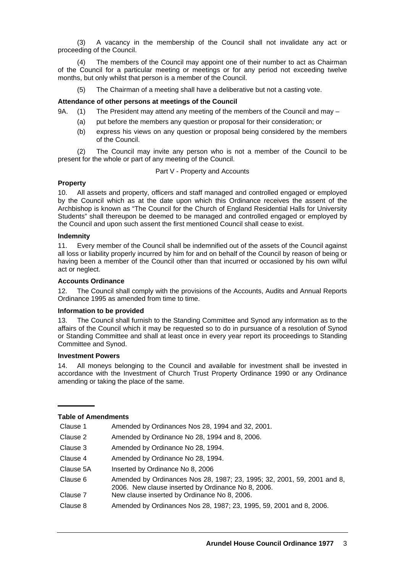(3) A vacancy in the membership of the Council shall not invalidate any act or proceeding of the Council.

(4) The members of the Council may appoint one of their number to act as Chairman of the Council for a particular meeting or meetings or for any period not exceeding twelve months, but only whilst that person is a member of the Council.

(5) The Chairman of a meeting shall have a deliberative but not a casting vote.

#### **Attendance of other persons at meetings of the Council**

9A. (1) The President may attend any meeting of the members of the Council and may –

- (a) put before the members any question or proposal for their consideration; or
- (b) express his views on any question or proposal being considered by the members of the Council.

(2) The Council may invite any person who is not a member of the Council to be present for the whole or part of any meeting of the Council.

#### Part V - Property and Accounts

### **Property**

10. All assets and property, officers and staff managed and controlled engaged or employed by the Council which as at the date upon which this Ordinance receives the assent of the Archbishop is known as "The Council for the Church of England Residential Halls for University Students" shall thereupon be deemed to be managed and controlled engaged or employed by the Council and upon such assent the first mentioned Council shall cease to exist.

#### **Indemnity**

11. Every member of the Council shall be indemnified out of the assets of the Council against all loss or liability properly incurred by him for and on behalf of the Council by reason of being or having been a member of the Council other than that incurred or occasioned by his own wilful act or neglect.

#### **Accounts Ordinance**

12. The Council shall comply with the provisions of the Accounts, Audits and Annual Reports Ordinance 1995 as amended from time to time.

#### **Information to be provided**

13. The Council shall furnish to the Standing Committee and Synod any information as to the affairs of the Council which it may be requested so to do in pursuance of a resolution of Synod or Standing Committee and shall at least once in every year report its proceedings to Standing Committee and Synod.

#### **Investment Powers**

14. All moneys belonging to the Council and available for investment shall be invested in accordance with the Investment of Church Trust Property Ordinance 1990 or any Ordinance amending or taking the place of the same.

## **Table of Amendments**

| Clause 1  | Amended by Ordinances Nos 28, 1994 and 32, 2001.                                                                              |  |
|-----------|-------------------------------------------------------------------------------------------------------------------------------|--|
| Clause 2  | Amended by Ordinance No 28, 1994 and 8, 2006.                                                                                 |  |
| Clause 3  | Amended by Ordinance No 28, 1994.                                                                                             |  |
| Clause 4  | Amended by Ordinance No 28, 1994.                                                                                             |  |
| Clause 5A | Inserted by Ordinance No 8, 2006                                                                                              |  |
| Clause 6  | Amended by Ordinances Nos 28, 1987; 23, 1995; 32, 2001, 59, 2001 and 8,<br>2006. New clause inserted by Ordinance No 8, 2006. |  |
| Clause 7  | New clause inserted by Ordinance No 8, 2006.                                                                                  |  |
| Clause 8  | Amended by Ordinances Nos 28, 1987; 23, 1995, 59, 2001 and 8, 2006.                                                           |  |